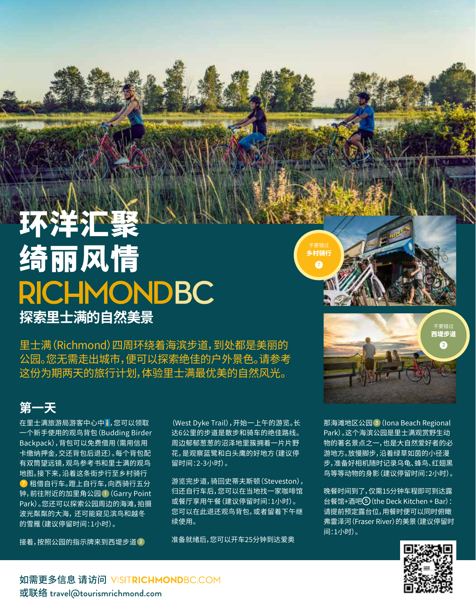## 环洋汇聚 绮丽风情 **RICHMONDBC 探索里士满的自然美景**

里士满(Richmond)四周环绕着海滨步道,到处都是美丽的 公园。您无需走出城市,便可以探索绝佳的户外景色。请参考 这份为期两天的旅行计划,体验里士满最优美的自然风光。

## **第一天**

在里士满旅游局游客中心中 , 您可以领取 一个新手使用的观鸟背包(Budding Birder Backpack),背包可以免费借用(需用信用 卡缴纳押金,交还背包后退还)。每个背包配 有双筒望远镜,观鸟参考书和里士满的观鸟 地图。接下来,沿着这条街步行至乡村骑行 **7** 租借自行车。蹬上自行车,向西骑行五分 钟,前往附近的加里角公园 **1**(Garry Point Park)。您还可以探索公园周边的海滩,拍摄 波光粼粼的大海, 还可能窥见滨鸟和越冬 的雪雁(建议停留时间:1小时)。

接着,按照公园的指示牌来到西堤步道 **2**

(West Dyke Trail),开始一上午的游览。长 达6公里的步道是散步和骑车的绝佳路线。 周边郁郁葱葱的沼泽地里簇拥着一片片野 花,是观察蓝鹭和白头鹰的好地方(建议停 留时间:2-3小时)。

游览完步道,骑回史蒂夫斯顿(Steveston), 归还自行车后,您可以在当地找一家咖啡馆 或餐厅享用午餐(建议停留时间:1小时)。 您可以在此退还观鸟背包,或者留着下午继 续使用。

准备就绪后,您可以开车25分钟到达爱奥

不要错过 西堤步道 **2**

乡村骑行 **7**

> 那海滩地区公园 **3**(Iona Beach Regional Park)。这个海滨公园是里士满观赏野生动 物的著名景点之一,也是大自然爱好者的必 游地方。放慢脚步,沿着绿草如茵的小径漫 步,准备好相机随时记录乌龟、蜂鸟、红翅黑 鸟等等动物的身影(建议停留时间:2小时)。

> 晚餐时间到了,仅需15分钟车程即可到达露 台餐馆+酒吧 **<sup>5</sup>**(the Deck Kitchen + Bar): 请提前预定露台位,用餐时便可以同时俯瞰 弗雷泽河(Fraser River)的美景(建议停留时 间:1小时)。



如需更多信息 请访问 VISITRICHMONDBC.COM 或联络 travel@tourismrichmond.com